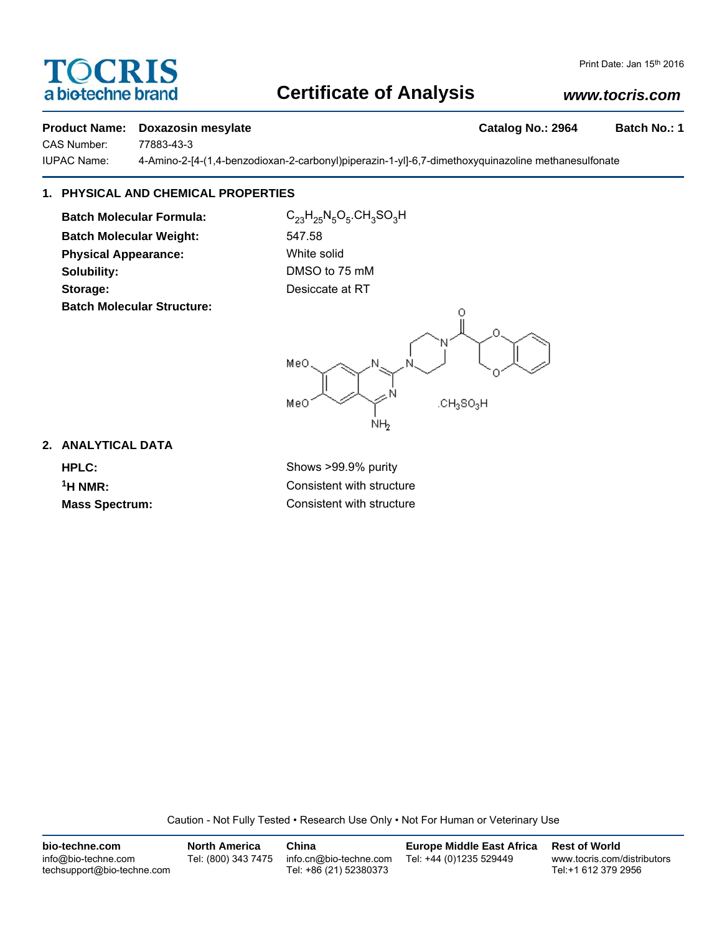# TOCRIS a biotechne brand

## **Certificate of Analysis**

## *www.tocris.com*

#### **Product Name: Doxazosin mesylate Catalog No.: 2964 Batch No.: 1**

CAS Number: 77883-43-3

IUPAC Name: 4-Amino-2-[4-(1,4-benzodioxan-2-carbonyl)piperazin-1-yl]-6,7-dimethoxyquinazoline methanesulfonate

## **1. PHYSICAL AND CHEMICAL PROPERTIES**

**Batch Molecular Formula:** C<sub>23</sub>H<sub>25</sub>N<sub>5</sub>O<sub>5</sub>.CH<sub>3</sub>SO<sub>3</sub>H **Batch Molecular Weight:** 547.58 **Physical Appearance:** White solid **Solubility:** DMSO to 75 mM **Storage:** Desiccate at RT **Batch Molecular Structure:**



**2. ANALYTICAL DATA**

**HPLC:** Shows >99.9% purity **1H NMR:** Consistent with structure **Mass Spectrum:** Consistent with structure

Caution - Not Fully Tested • Research Use Only • Not For Human or Veterinary Use

| bio-techne.com                                    | <b>North America</b> | China                                            | <b>Europe Middle East Africa</b> | <b>Rest of World</b>                               |
|---------------------------------------------------|----------------------|--------------------------------------------------|----------------------------------|----------------------------------------------------|
| info@bio-techne.com<br>techsupport@bio-techne.com | Tel: (800) 343 7475  | info.cn@bio-techne.com<br>Tel: +86 (21) 52380373 | Tel: +44 (0)1235 529449          | www.tocris.com/distributors<br>Tel:+1 612 379 2956 |